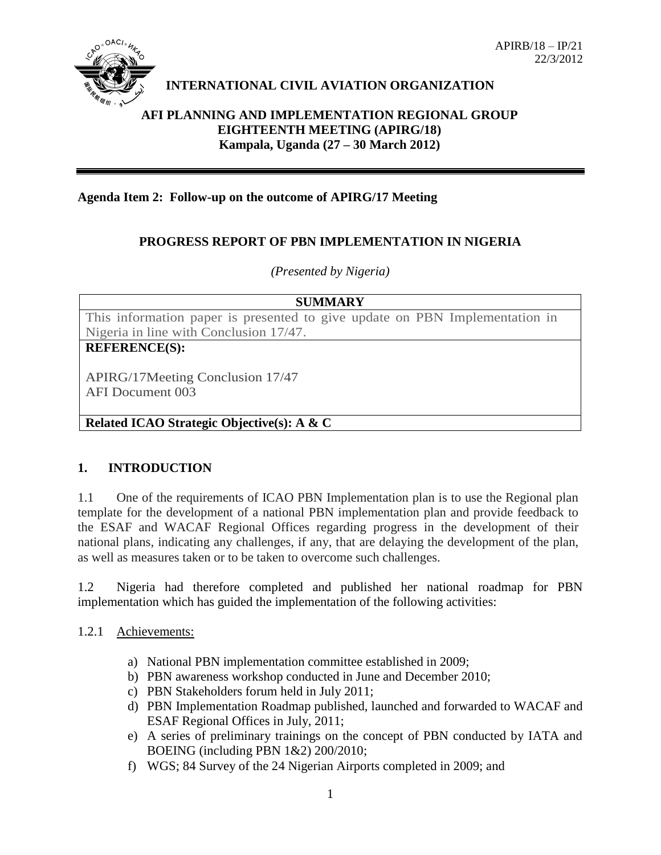

# **INTERNATIONAL CIVIL AVIATION ORGANIZATION**

### **AFI PLANNING AND IMPLEMENTATION REGIONAL GROUP EIGHTEENTH MEETING (APIRG/18) Kampala, Uganda (27 – 30 March 2012)**

### **Agenda Item 2: Follow-up on the outcome of APIRG/17 Meeting**

## **PROGRESS REPORT OF PBN IMPLEMENTATION IN NIGERIA**

### *(Presented by Nigeria)*

| <b>SUMMARY</b>                                                              |
|-----------------------------------------------------------------------------|
| This information paper is presented to give update on PBN Implementation in |
| Nigeria in line with Conclusion 17/47.                                      |
| <b>REFERENCE(S):</b>                                                        |
| APIRG/17Meeting Conclusion 17/47<br>AFI Document 003                        |
| Related ICAO Strategic Objective(s): A & C                                  |

#### **1. INTRODUCTION**

1.1 One of the requirements of ICAO PBN Implementation plan is to use the Regional plan template for the development of a national PBN implementation plan and provide feedback to the ESAF and WACAF Regional Offices regarding progress in the development of their national plans, indicating any challenges, if any, that are delaying the development of the plan, as well as measures taken or to be taken to overcome such challenges.

1.2 Nigeria had therefore completed and published her national roadmap for PBN implementation which has guided the implementation of the following activities:

#### 1.2.1 Achievements:

- a) National PBN implementation committee established in 2009;
- b) PBN awareness workshop conducted in June and December 2010;
- c) PBN Stakeholders forum held in July 2011;
- d) PBN Implementation Roadmap published, launched and forwarded to WACAF and ESAF Regional Offices in July, 2011;
- e) A series of preliminary trainings on the concept of PBN conducted by IATA and BOEING (including PBN 1&2) 200/2010;
- f) WGS; 84 Survey of the 24 Nigerian Airports completed in 2009; and